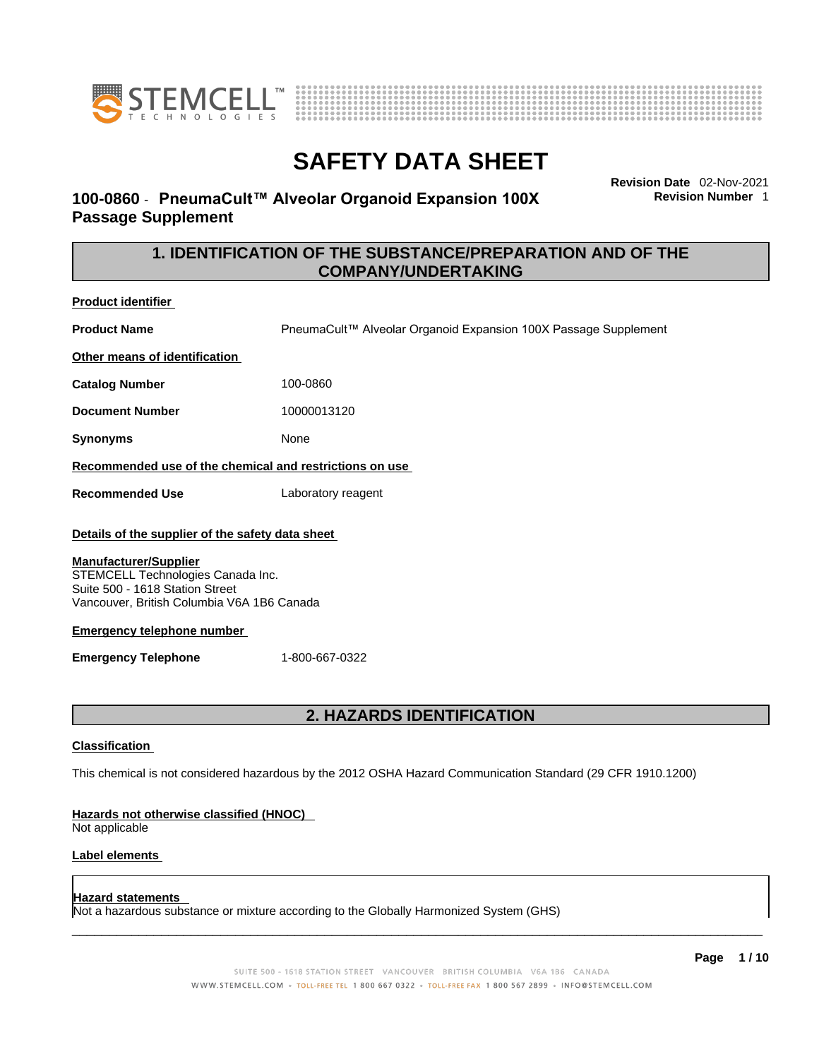



# **100-0860** - **PneumaCult™ Alveolar Organoid Expansion 100X Passage Supplement**

**Revision Date** 02-Nov-2021 **Revision Number** 1

# **1. IDENTIFICATION OF THE SUBSTANCE/PREPARATION AND OF THE COMPANY/UNDERTAKING**

**Product identifier**

**Product Name** PneumaCult™ Alveolar Organoid Expansion 100X Passage Supplement

**Other means of identification**

**Catalog Number** 100-0860

**Document Number** 10000013120

**Synonyms** None

**Recommended use of the chemical and restrictions on use**

**Recommended Use** Laboratory reagent

### **Details of the supplier of the safety data sheet**

#### **Manufacturer/Supplier**

STEMCELL Technologies Canada Inc. Suite 500 - 1618 Station Street Vancouver, British Columbia V6A 1B6 Canada

### **Emergency telephone number**

**Emergency Telephone** 1-800-667-0322

# **2. HAZARDS IDENTIFICATION**

### **Classification**

This chemical is not considered hazardous by the 2012 OSHA Hazard Communication Standard (29 CFR 1910.1200)

### **Hazards not otherwise classified (HNOC)**

Not applicable

### **Label elements**

### **Hazard statements**

Not a hazardous substance or mixture according to the Globally Harmonized System (GHS)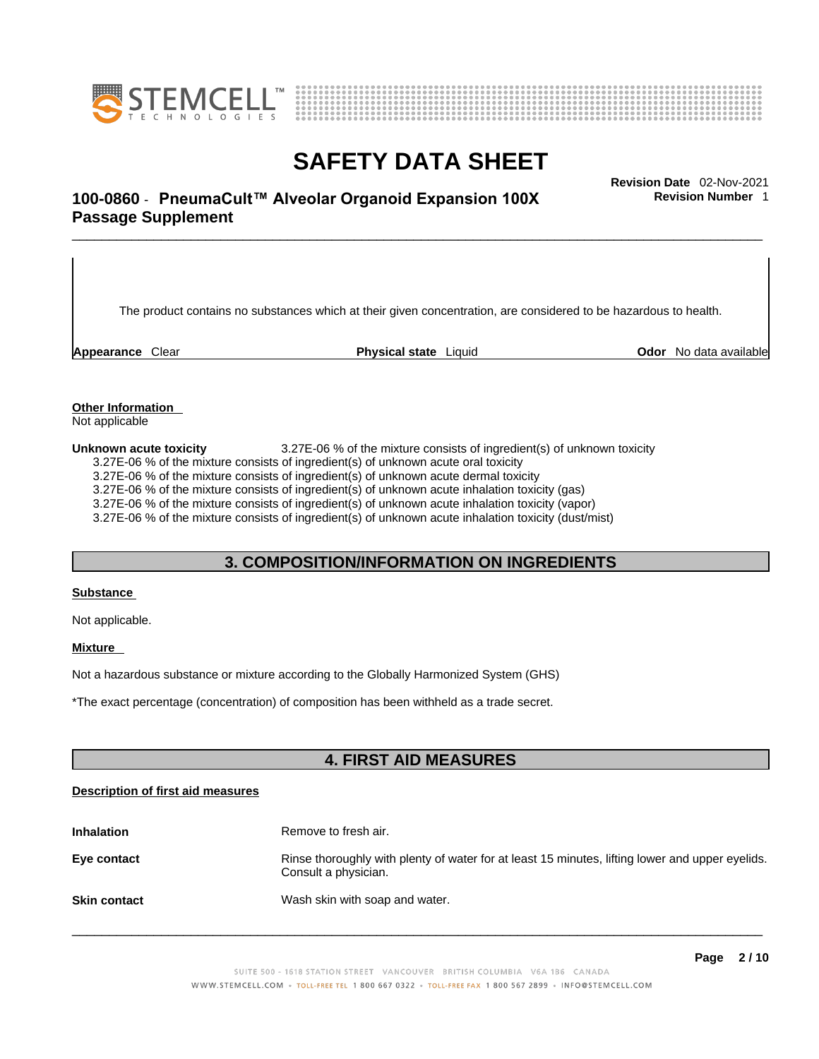



**Revision Number** 1

# \_\_\_\_\_\_\_\_\_\_\_\_\_\_\_\_\_\_\_\_\_\_\_\_\_\_\_\_\_\_\_\_\_\_\_\_\_\_\_\_\_\_\_\_\_\_\_\_\_\_\_\_\_\_\_\_\_\_\_\_\_\_\_\_\_\_\_\_\_\_\_\_\_\_\_\_\_\_\_\_\_\_\_\_\_\_\_\_\_\_\_\_\_ **Revision Date** 02-Nov-2021 **100-0860** - **PneumaCult™ Alveolar Organoid Expansion 100X Passage Supplement**

The product contains no substances which at their given concentration, are considered to be hazardous to health.

**Appearance** Clear **Physical state** Liquid **Odor** No data available

**Other Information** 

Not applicable

**Unknown acute toxicity** 3.27E-06 % of the mixture consists of ingredient(s) of unknown toxicity 3.27E-06 % of the mixture consists of ingredient(s) of unknown acute oral toxicity  $3.27E-06$  % of the mixture consists of ingredient(s) of unknown acute dermal toxicity 3.27E-06 % of the mixture consists of ingredient(s) of unknown acute inhalation toxicity (gas) 3.27E-06 % of the mixture consists of ingredient(s) of unknown acute inhalation toxicity (vapor) 3.27E-06 % of the mixture consists of ingredient(s) of unknown acute inhalation toxicity (dust/mist)

# **3. COMPOSITION/INFORMATION ON INGREDIENTS**

### **Substance**

Not applicable.

## **Mixture**

Not a hazardous substance or mixture according to the Globally Harmonized System (GHS)

\*The exact percentage (concentration) ofcomposition has been withheld as a trade secret.

## **4. FIRST AID MEASURES**

### **Description of first aid measures**

| <b>Inhalation</b>   | Remove to fresh air.                                                                                                    |
|---------------------|-------------------------------------------------------------------------------------------------------------------------|
| Eye contact         | Rinse thoroughly with plenty of water for at least 15 minutes, lifting lower and upper eyelids.<br>Consult a physician. |
| <b>Skin contact</b> | Wash skin with soap and water.                                                                                          |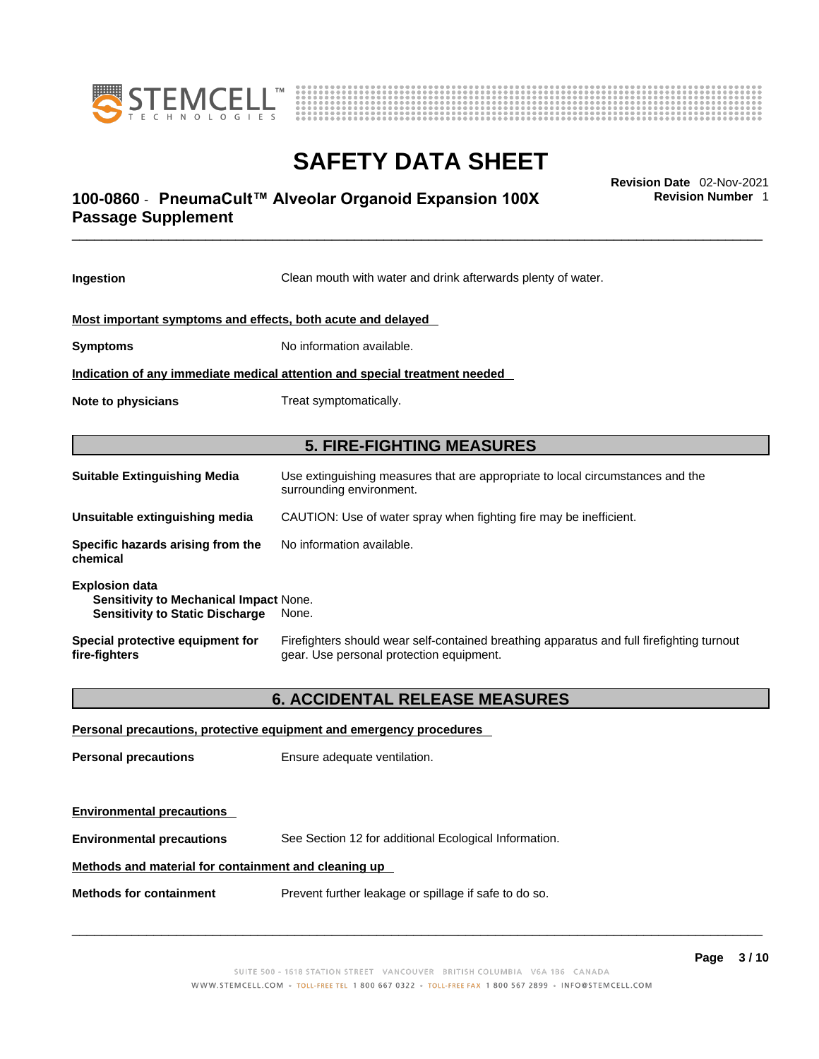



# \_\_\_\_\_\_\_\_\_\_\_\_\_\_\_\_\_\_\_\_\_\_\_\_\_\_\_\_\_\_\_\_\_\_\_\_\_\_\_\_\_\_\_\_\_\_\_\_\_\_\_\_\_\_\_\_\_\_\_\_\_\_\_\_\_\_\_\_\_\_\_\_\_\_\_\_\_\_\_\_\_\_\_\_\_\_\_\_\_\_\_\_\_ **Revision Date** 02-Nov-2021 **100-0860** - **PneumaCult™ Alveolar Organoid Expansion 100X Passage Supplement**

**Ingestion** Clean mouth with water and drink afterwards plenty of water. **Most important symptoms and effects, both acute and delayed Symptoms** No information available. **Indication of any immediate medical attention and special treatment needed Note to physicians** Treat symptomatically. **5. FIRE-FIGHTING MEASURES Suitable Extinguishing Media** Use extinguishing measures that are appropriate to local circumstances and the surrounding environment. **Unsuitable extinguishing media** CAUTION: Use of water spray when fighting fire may be inefficient. **Specific hazards arising from the chemical** No information available. **Explosion data Sensitivity to Mechanical Impact** None. **Sensitivity to Static Discharge** None. **Special protective equipment for fire-fighters** Firefighters should wear self-contained breathing apparatus and full firefighting turnout gear. Use personal protection equipment. **6. ACCIDENTAL RELEASE MEASURES** 

**Personal precautions, protective equipment and emergency procedures Personal precautions** Ensure adequate ventilation. **Environmental precautions Environmental precautions** See Section 12 for additional Ecological Information. **Methods and material for containment and cleaning up Methods for containment** Prevent further leakage or spillage if safe to do so.

 $\_$  ,  $\_$  ,  $\_$  ,  $\_$  ,  $\_$  ,  $\_$  ,  $\_$  ,  $\_$  ,  $\_$  ,  $\_$  ,  $\_$  ,  $\_$  ,  $\_$  ,  $\_$  ,  $\_$  ,  $\_$  ,  $\_$  ,  $\_$  ,  $\_$  ,  $\_$  ,  $\_$  ,  $\_$  ,  $\_$  ,  $\_$  ,  $\_$  ,  $\_$  ,  $\_$  ,  $\_$  ,  $\_$  ,  $\_$  ,  $\_$  ,  $\_$  ,  $\_$  ,  $\_$  ,  $\_$  ,  $\_$  ,  $\_$  ,

**Revision Number** 1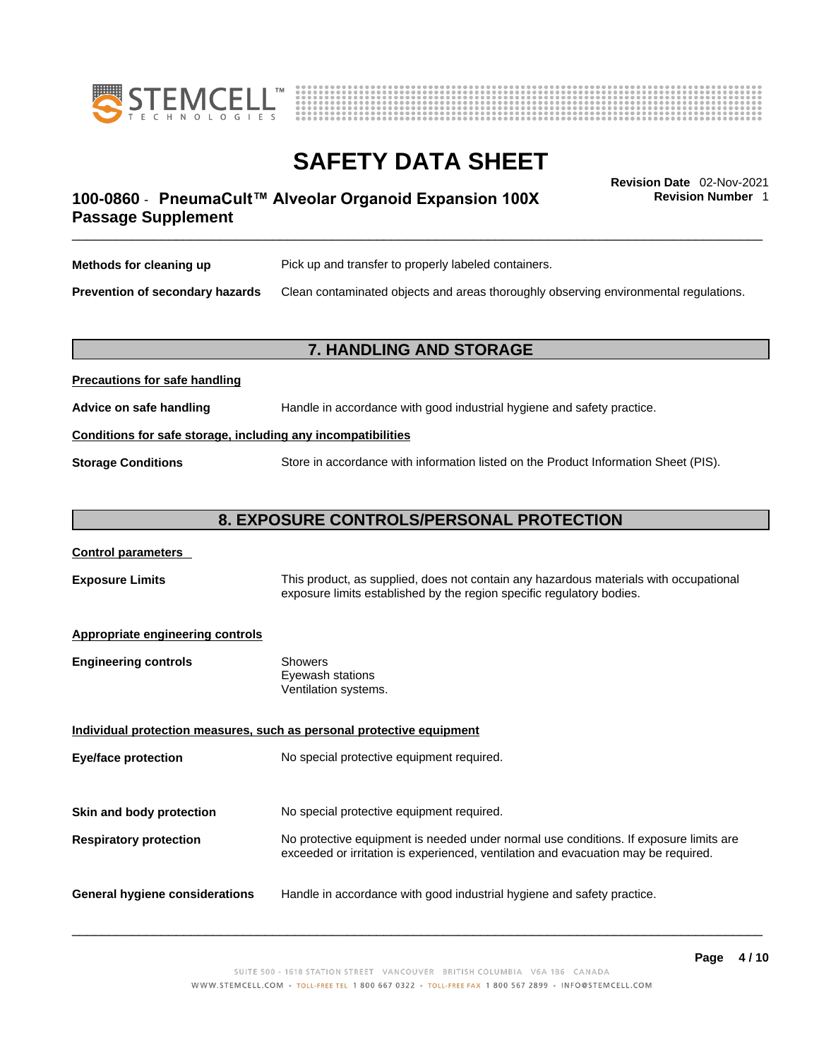



**Revision Number** 1

# \_\_\_\_\_\_\_\_\_\_\_\_\_\_\_\_\_\_\_\_\_\_\_\_\_\_\_\_\_\_\_\_\_\_\_\_\_\_\_\_\_\_\_\_\_\_\_\_\_\_\_\_\_\_\_\_\_\_\_\_\_\_\_\_\_\_\_\_\_\_\_\_\_\_\_\_\_\_\_\_\_\_\_\_\_\_\_\_\_\_\_\_\_ **Revision Date** 02-Nov-2021 **100-0860** - **PneumaCult™ Alveolar Organoid Expansion 100X Passage Supplement**

| Methods for cleaning up                | Pick up and transfer to properly labeled containers.                                 |
|----------------------------------------|--------------------------------------------------------------------------------------|
| <b>Prevention of secondary hazards</b> | Clean contaminated objects and areas thoroughly observing environmental regulations. |

## **7. HANDLING AND STORAGE**

| Advice on safe handling   | Handle in accordance with good industrial hygiene and safety practice.              |
|---------------------------|-------------------------------------------------------------------------------------|
|                           | Conditions for safe storage, including any incompatibilities                        |
| <b>Storage Conditions</b> | Store in accordance with information listed on the Product Information Sheet (PIS). |

## **8. EXPOSURE CONTROLS/PERSONAL PROTECTION**

### **Control parameters**

**Precautions for safe handling**

**Exposure Limits** This product, as supplied, does not contain any hazardous materials with occupational exposure limits established by the region specific regulatory bodies.

### **Appropriate engineering controls**

| <b>Engineering controls</b> | Showers              |
|-----------------------------|----------------------|
|                             | Eyewash stations     |
|                             | Ventilation systems. |

**Individual protection measures, such as personal protective equipment Eye/face protection** No special protective equipment required. **Skin and body protection** No special protective equipment required. **Respiratory protection** No protective equipment is needed under normal use conditions. If exposure limits are exceeded or irritation is experienced, ventilation and evacuation may be required. **General hygiene considerations** Handle in accordance with good industrial hygiene and safety practice.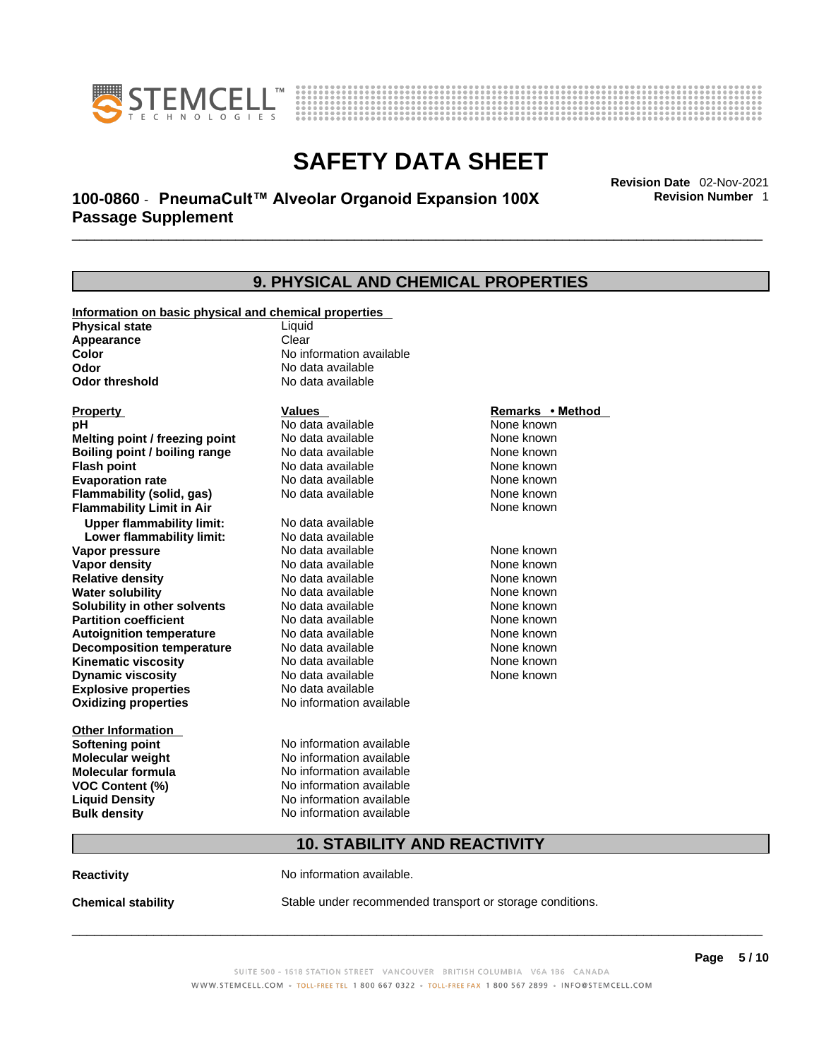



# \_\_\_\_\_\_\_\_\_\_\_\_\_\_\_\_\_\_\_\_\_\_\_\_\_\_\_\_\_\_\_\_\_\_\_\_\_\_\_\_\_\_\_\_\_\_\_\_\_\_\_\_\_\_\_\_\_\_\_\_\_\_\_\_\_\_\_\_\_\_\_\_\_\_\_\_\_\_\_\_\_\_\_\_\_\_\_\_\_\_\_\_\_ **Revision Date** 02-Nov-2021 **100-0860** - **PneumaCult™ Alveolar Organoid Expansion 100X Passage Supplement**

**Revision Number** 1

| 9. PHYSICAL AND CHEMICAL PROPERTIES                   |                                     |                  |  |  |
|-------------------------------------------------------|-------------------------------------|------------------|--|--|
| Information on basic physical and chemical properties |                                     |                  |  |  |
| <b>Physical state</b>                                 | Liquid                              |                  |  |  |
| Appearance                                            | Clear                               |                  |  |  |
| Color                                                 | No information available            |                  |  |  |
| Odor                                                  | No data available                   |                  |  |  |
| Odor threshold                                        | No data available                   |                  |  |  |
| <b>Property</b>                                       | <b>Values</b>                       | Remarks • Method |  |  |
| рH                                                    | No data available                   | None known       |  |  |
| Melting point / freezing point                        | No data available                   | None known       |  |  |
| Boiling point / boiling range                         | No data available                   | None known       |  |  |
| <b>Flash point</b>                                    | No data available                   | None known       |  |  |
| <b>Evaporation rate</b>                               | No data available                   | None known       |  |  |
| <b>Flammability (solid, gas)</b>                      | No data available                   | None known       |  |  |
| <b>Flammability Limit in Air</b>                      |                                     | None known       |  |  |
| <b>Upper flammability limit:</b>                      | No data available                   |                  |  |  |
| Lower flammability limit:                             | No data available                   |                  |  |  |
| Vapor pressure                                        | No data available                   | None known       |  |  |
| <b>Vapor density</b>                                  | No data available                   | None known       |  |  |
| <b>Relative density</b>                               | No data available                   | None known       |  |  |
| <b>Water solubility</b>                               | No data available                   | None known       |  |  |
| Solubility in other solvents                          | No data available                   | None known       |  |  |
| <b>Partition coefficient</b>                          | No data available                   | None known       |  |  |
| <b>Autoignition temperature</b>                       | No data available                   | None known       |  |  |
| <b>Decomposition temperature</b>                      | No data available                   | None known       |  |  |
| <b>Kinematic viscosity</b>                            | No data available                   | None known       |  |  |
| <b>Dynamic viscosity</b>                              | No data available                   | None known       |  |  |
| <b>Explosive properties</b>                           | No data available                   |                  |  |  |
| <b>Oxidizing properties</b>                           | No information available            |                  |  |  |
| <b>Other Information</b>                              |                                     |                  |  |  |
| <b>Softening point</b>                                | No information available            |                  |  |  |
| <b>Molecular weight</b>                               | No information available            |                  |  |  |
| <b>Molecular formula</b>                              | No information available            |                  |  |  |
| <b>VOC Content (%)</b>                                | No information available            |                  |  |  |
| <b>Liquid Density</b>                                 | No information available            |                  |  |  |
| <b>Bulk density</b>                                   | No information available            |                  |  |  |
|                                                       | <b>10. STABILITY AND REACTIVITY</b> |                  |  |  |
|                                                       |                                     |                  |  |  |

**Reactivity No information available.** 

**Chemical stability** Stable under recommended transport or storage conditions.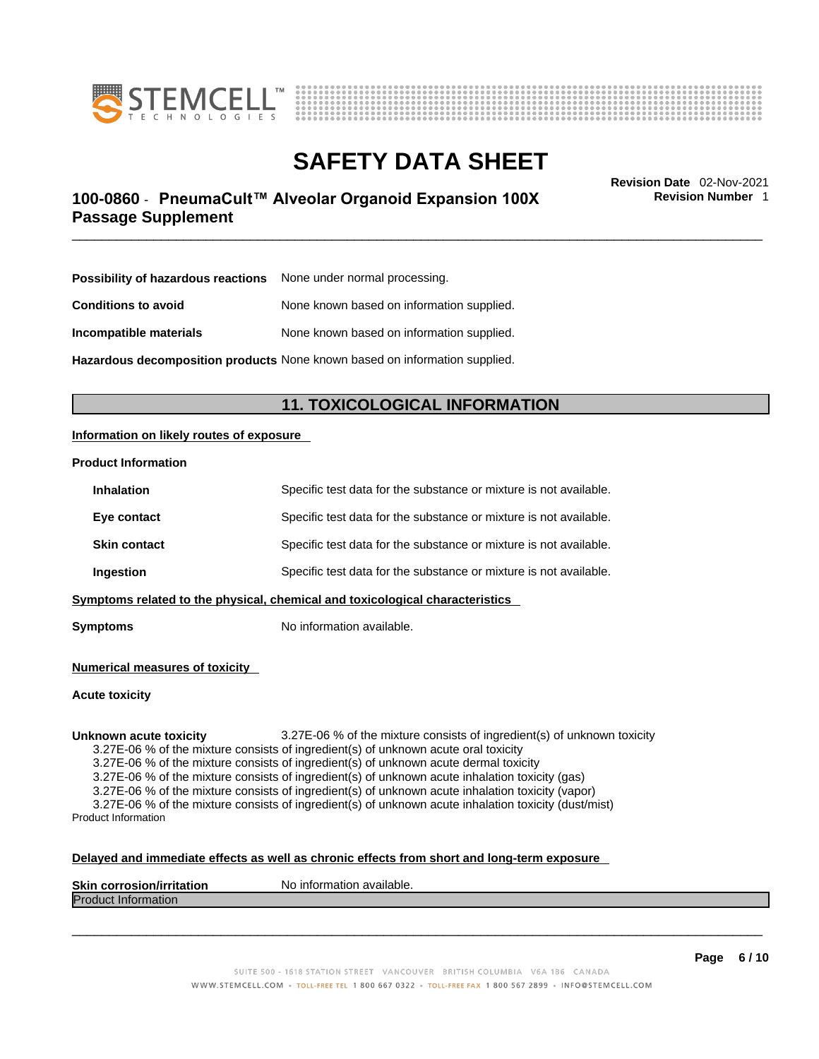



# \_\_\_\_\_\_\_\_\_\_\_\_\_\_\_\_\_\_\_\_\_\_\_\_\_\_\_\_\_\_\_\_\_\_\_\_\_\_\_\_\_\_\_\_\_\_\_\_\_\_\_\_\_\_\_\_\_\_\_\_\_\_\_\_\_\_\_\_\_\_\_\_\_\_\_\_\_\_\_\_\_\_\_\_\_\_\_\_\_\_\_\_\_ **Revision Date** 02-Nov-2021 **100-0860** - **PneumaCult™ Alveolar Organoid Expansion 100X Passage Supplement**

**Revision Number** 1

| <b>Possibility of hazardous reactions</b> None under normal processing. |                                           |
|-------------------------------------------------------------------------|-------------------------------------------|
| <b>Conditions to avoid</b>                                              | None known based on information supplied. |
| Incompatible materials                                                  | None known based on information supplied. |

**Hazardous decomposition products** None known based on information supplied.

# **11. TOXICOLOGICAL INFORMATION**

## **Information on likely routes of exposure**

### **Product Information**

| Ingestion           | Specific test data for the substance or mixture is not available. |
|---------------------|-------------------------------------------------------------------|
| <b>Skin contact</b> | Specific test data for the substance or mixture is not available. |
| Eye contact         | Specific test data for the substance or mixture is not available. |
| <b>Inhalation</b>   | Specific test data for the substance or mixture is not available. |

**Symptoms** No information available.

**Numerical measures of toxicity**

#### **Acute toxicity**

**Unknown acute toxicity** 3.27E-06 % of the mixture consists of ingredient(s) of unknown toxicity 3.27E-06 % of the mixture consists of ingredient(s) of unknown acute oral toxicity 3.27E-06 % of the mixture consists of ingredient(s) of unknown acute dermal toxicity 3.27E-06 % of the mixture consists of ingredient(s) of unknown acute inhalation toxicity (gas) 3.27E-06 % of the mixture consists of ingredient(s) of unknown acute inhalation toxicity (vapor) 3.27E-06 % of the mixture consists of ingredient(s) of unknown acute inhalation toxicity (dust/mist) Product Information

## **Delayed and immediate effects as well as chronic effects from short and long-term exposure**

| <b>Product Information</b> |  |
|----------------------------|--|
|                            |  |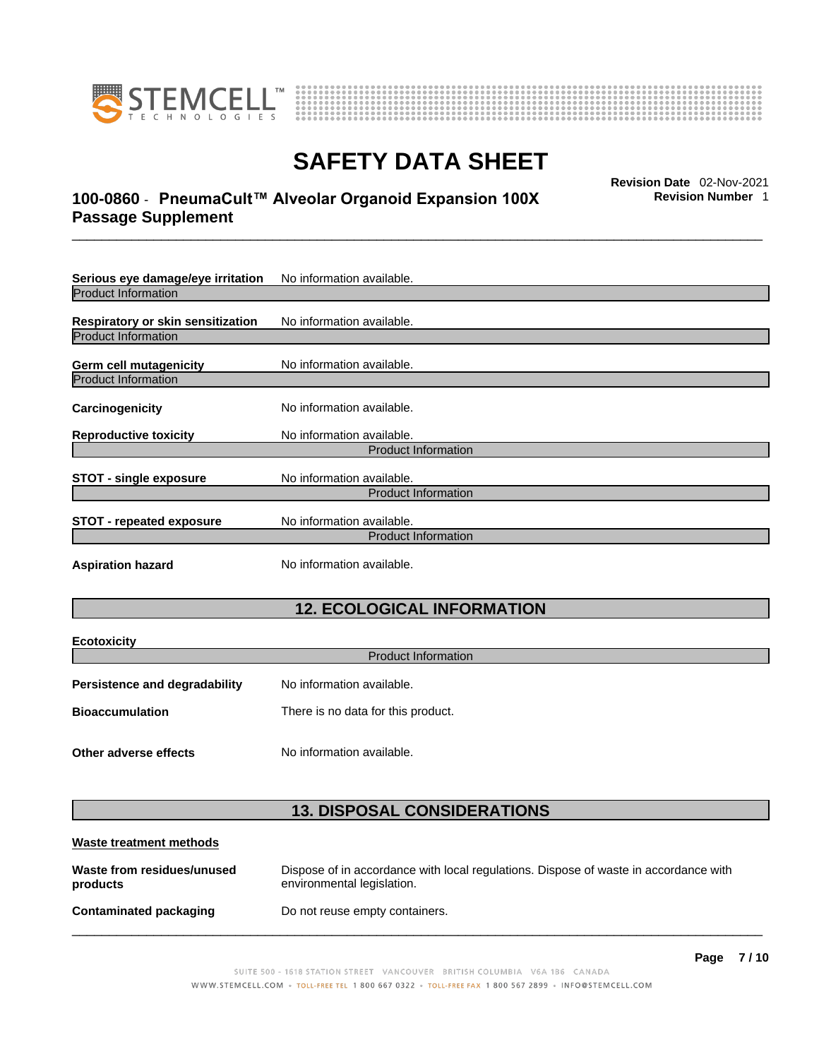

**Ecotoxicity** 



# **SAFETY DATA SHEET**

# \_\_\_\_\_\_\_\_\_\_\_\_\_\_\_\_\_\_\_\_\_\_\_\_\_\_\_\_\_\_\_\_\_\_\_\_\_\_\_\_\_\_\_\_\_\_\_\_\_\_\_\_\_\_\_\_\_\_\_\_\_\_\_\_\_\_\_\_\_\_\_\_\_\_\_\_\_\_\_\_\_\_\_\_\_\_\_\_\_\_\_\_\_ **Revision Date** 02-Nov-2021 **100-0860** - **PneumaCult™ Alveolar Organoid Expansion 100X Passage Supplement**

**Revision Number** 1

| Serious eye damage/eye irritation        | No information available. |  |
|------------------------------------------|---------------------------|--|
| <b>Product Information</b>               |                           |  |
| <b>Respiratory or skin sensitization</b> | No information available. |  |
| <b>Product Information</b>               |                           |  |
| <b>Germ cell mutagenicity</b>            | No information available. |  |
| <b>Product Information</b>               |                           |  |
| Carcinogenicity                          | No information available. |  |
| <b>Reproductive toxicity</b>             | No information available. |  |
| <b>Product Information</b>               |                           |  |
| <b>STOT - single exposure</b>            | No information available. |  |
| <b>Product Information</b>               |                           |  |
| <b>STOT - repeated exposure</b>          | No information available. |  |
| <b>Product Information</b>               |                           |  |
| <b>Aspiration hazard</b>                 | No information available. |  |

# **12. ECOLOGICAL INFORMATION**

| ECOLOXICITY<br><b>Product Information</b> |                                    |  |
|-------------------------------------------|------------------------------------|--|
| <b>Persistence and degradability</b>      | No information available.          |  |
| <b>Bioaccumulation</b>                    | There is no data for this product. |  |
| Other adverse effects                     | No information available.          |  |

# **13. DISPOSAL CONSIDERATIONS**

| Waste treatment methods                |                                                                                                                    |
|----------------------------------------|--------------------------------------------------------------------------------------------------------------------|
| Waste from residues/unused<br>products | Dispose of in accordance with local regulations. Dispose of waste in accordance with<br>environmental legislation. |
| Contaminated packaging                 | Do not reuse empty containers.                                                                                     |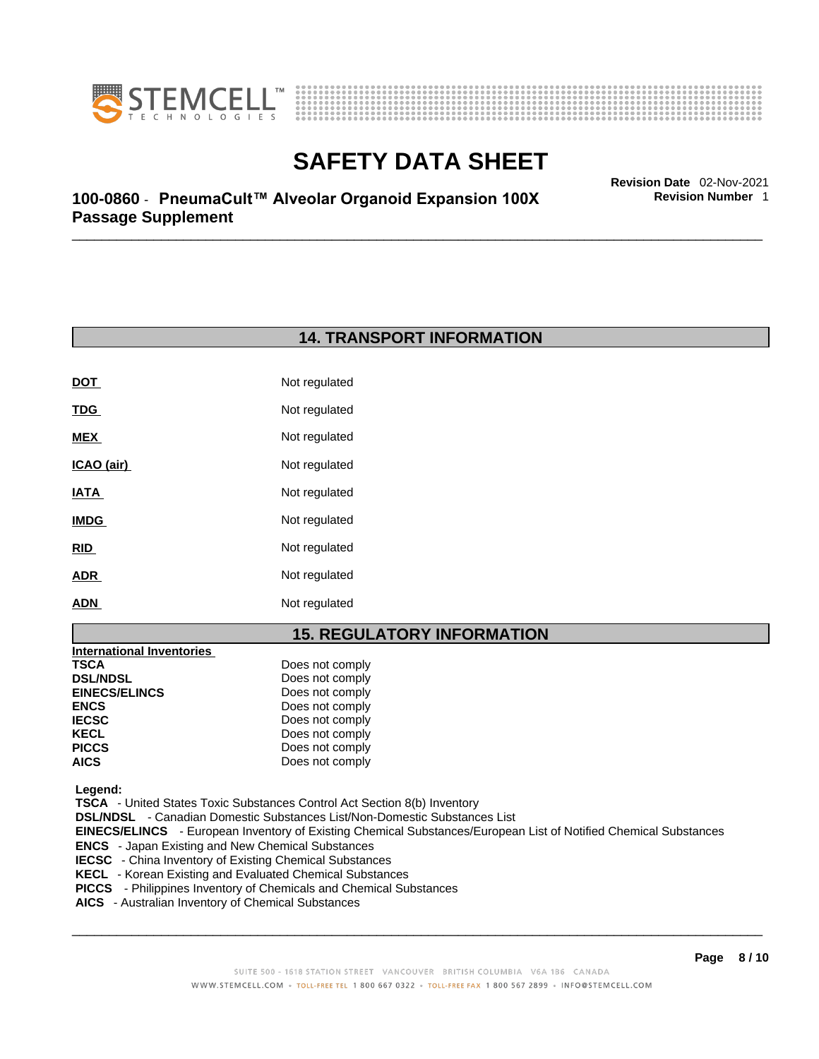



**Revision Number** 1

\_\_\_\_\_\_\_\_\_\_\_\_\_\_\_\_\_\_\_\_\_\_\_\_\_\_\_\_\_\_\_\_\_\_\_\_\_\_\_\_\_\_\_\_\_\_\_\_\_\_\_\_\_\_\_\_\_\_\_\_\_\_\_\_\_\_\_\_\_\_\_\_\_\_\_\_\_\_\_\_\_\_\_\_\_\_\_\_\_\_\_\_\_ **Revision Date** 02-Nov-2021 **100-0860** - **PneumaCult™ Alveolar Organoid Expansion 100X Passage Supplement** 

# **14. TRANSPORT INFORMATION**

| DOT         | Not regulated |
|-------------|---------------|
| <u>TDG</u>  | Not regulated |
| <b>MEX</b>  | Not regulated |
| ICAO (air)  | Not regulated |
| IATA        | Not regulated |
| <b>IMDG</b> | Not regulated |
| <b>RID</b>  | Not regulated |
| <b>ADR</b>  | Not regulated |
| ADN         | Not regulated |

## **15. REGULATORY INFORMATION**

| <b>International Inventories</b> |                 |  |
|----------------------------------|-----------------|--|
| TSCA                             | Does not comply |  |
| <b>DSL/NDSL</b>                  | Does not comply |  |
| <b>EINECS/ELINCS</b>             | Does not comply |  |
| <b>ENCS</b>                      | Does not comply |  |
| <b>IECSC</b>                     | Does not comply |  |
| KECL                             | Does not comply |  |
| <b>PICCS</b>                     | Does not comply |  |
| <b>AICS</b>                      | Does not comply |  |
|                                  |                 |  |

 **Legend:** 

 **TSCA** - United States Toxic Substances Control Act Section 8(b) Inventory

 **DSL/NDSL** - Canadian Domestic Substances List/Non-Domestic Substances List

 **EINECS/ELINCS** - European Inventory of Existing Chemical Substances/European List of Notified Chemical Substances

 **ENCS** - Japan Existing and New Chemical Substances

 **IECSC** - China Inventory of Existing Chemical Substances

 **KECL** - Korean Existing and Evaluated Chemical Substances

 **PICCS** - Philippines Inventory of Chemicals and Chemical Substances

 **AICS** - Australian Inventory of Chemical Substances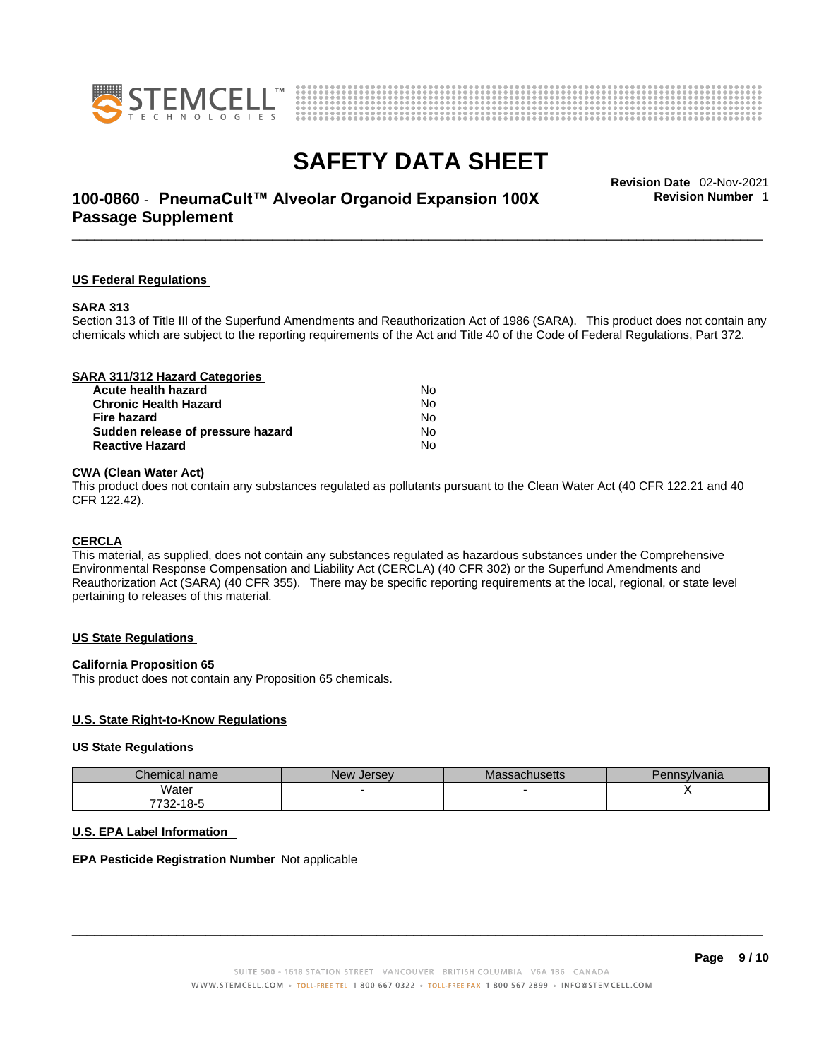



# \_\_\_\_\_\_\_\_\_\_\_\_\_\_\_\_\_\_\_\_\_\_\_\_\_\_\_\_\_\_\_\_\_\_\_\_\_\_\_\_\_\_\_\_\_\_\_\_\_\_\_\_\_\_\_\_\_\_\_\_\_\_\_\_\_\_\_\_\_\_\_\_\_\_\_\_\_\_\_\_\_\_\_\_\_\_\_\_\_\_\_\_\_ **Revision Date** 02-Nov-2021 **100-0860** - **PneumaCult™ Alveolar Organoid Expansion 100X Passage Supplement**

**Revision Number** 1

## **US Federal Regulations**

#### **SARA 313**

Section 313 of Title III of the Superfund Amendments and Reauthorization Act of 1986 (SARA). This product does not contain any chemicals which are subject to the reporting requirements of the Act and Title 40 of the Code of Federal Regulations, Part 372.

| SARA 311/312 Hazard Categories    |    |  |
|-----------------------------------|----|--|
| Acute health hazard               | N٥ |  |
| <b>Chronic Health Hazard</b>      | No |  |
| Fire hazard                       | No |  |
| Sudden release of pressure hazard | No |  |
| <b>Reactive Hazard</b>            | No |  |
|                                   |    |  |

## **CWA** (Clean Water Act)

This product does not contain any substances regulated as pollutants pursuant to the Clean Water Act (40 CFR 122.21 and 40 CFR 122.42).

#### **CERCLA**

This material, as supplied, does not contain any substances regulated as hazardous substances under the Comprehensive Environmental Response Compensation and Liability Act (CERCLA) (40 CFR 302) or the Superfund Amendments and Reauthorization Act (SARA) (40 CFR 355). There may be specific reporting requirements at the local, regional, or state level pertaining to releases of this material.

#### **US State Regulations**

#### **California Proposition 65**

This product does not contain any Proposition 65 chemicals.

### **U.S. State Right-to-Know Regulations**

#### **US State Regulations**

| Chemical name         | New Jersey | <b>Massachusetts</b> | Pennsylvania |
|-----------------------|------------|----------------------|--------------|
| Water                 |            |                      |              |
| <sup>7</sup> 732-18-5 |            |                      |              |

### **U.S. EPA Label Information**

### **EPA Pesticide Registration Number** Not applicable